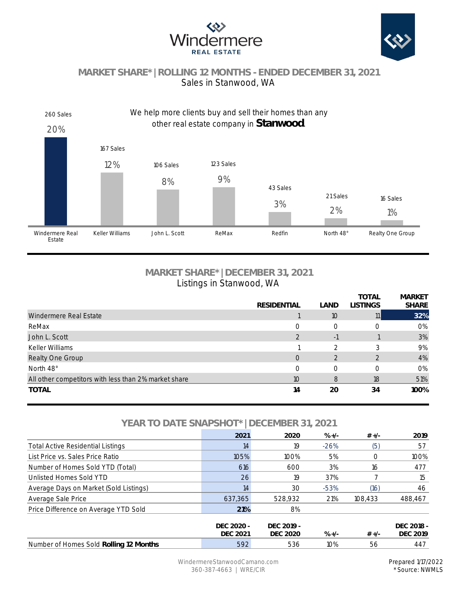



# **MARKET SHARE\* | ROLLING 12 MONTHS - ENDED DECEMBER 31, 2021** Sales in Stanwood, WA



## **MARKET SHARE\* | DECEMBER 31, 2021** Listings in Stanwood, WA

|                                                      |                    |                | <b>TOTAL</b>    | <b>MARKET</b> |
|------------------------------------------------------|--------------------|----------------|-----------------|---------------|
|                                                      | <b>RESIDENTIAL</b> | LAND           | <b>LISTINGS</b> | <b>SHARE</b>  |
| Windermere Real Estate                               |                    | 10             | 11              | 32%           |
| ReMax                                                | $\Omega$           | $\Omega$       |                 | 0%            |
| John L. Scott                                        | 2                  | $-1$           |                 | 3%            |
| Keller Williams                                      |                    | $\mathcal{P}$  |                 | 9%            |
| Realty One Group                                     | $\overline{O}$     | $\overline{2}$ |                 | 4%            |
| North 48°                                            | $\Omega$           | $\bigcap$      |                 | 0%            |
| All other competitors with less than 2% market share | 10                 | 8              | 18              | 51%           |
| <b>TOTAL</b>                                         | 14                 | 20             | 34              | 100%          |
|                                                      |                    |                |                 |               |

## **YEAR TO DATE SNAPSHOT\* | DECEMBER 31, 2021**

|                                          | 2021                          | 2020                   | $\% +/-$ | $# +/-$ | 2019                          |
|------------------------------------------|-------------------------------|------------------------|----------|---------|-------------------------------|
| <b>Total Active Residential Listings</b> | 14                            | 19                     | $-26%$   | (5)     | 57                            |
| List Price vs. Sales Price Ratio         | 105%                          | 100%                   | 5%       | O       | 100%                          |
| Number of Homes Sold YTD (Total)         | 616                           | 600                    | 3%       | 16      | 477                           |
| Unlisted Homes Sold YTD                  | 26                            | 19                     | 37%      |         | 15                            |
| Average Days on Market (Sold Listings)   | 14                            | 30                     | $-53%$   | (16)    | 46                            |
| Average Sale Price                       | 637,365                       | 528,932                | 21%      | 108,433 | 488,467                       |
| Price Difference on Average YTD Sold     | 21%                           | 8%                     |          |         |                               |
|                                          | DFC 2020 -<br><b>DEC 2021</b> | DFC 2019 -<br>DFC 2020 | $\% +/-$ | $# +/-$ | DFC 2018 -<br><b>DEC 2019</b> |
| Number of Homes Sold Rolling 12 Months   | 592                           | 536                    | 10%      | 56      | 447                           |